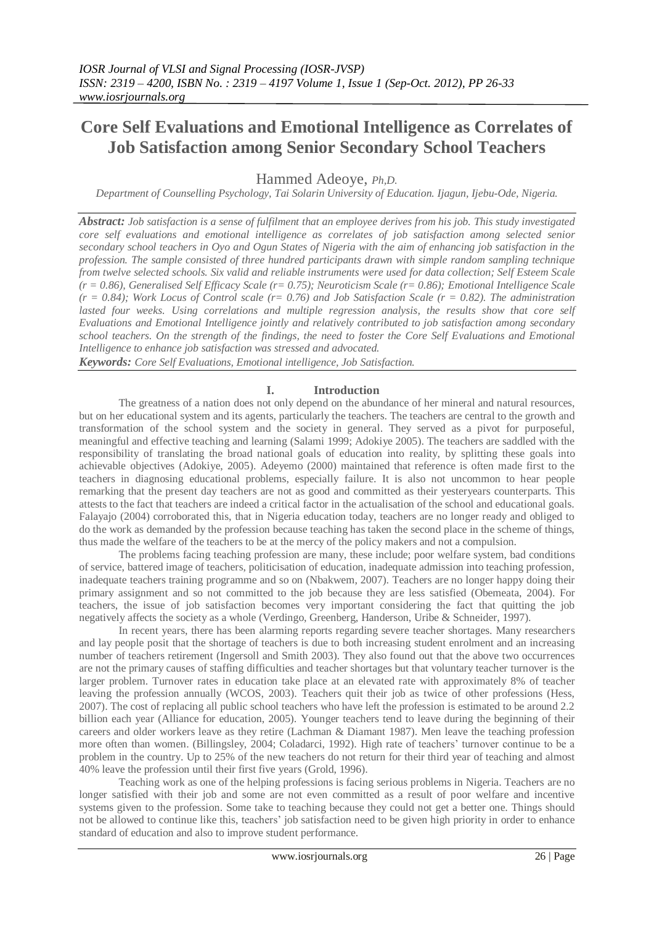# **Core Self Evaluations and Emotional Intelligence as Correlates of Job Satisfaction among Senior Secondary School Teachers**

Hammed Adeoye, *Ph,D.*

*Department of Counselling Psychology, Tai Solarin University of Education. Ijagun, Ijebu-Ode, Nigeria.*

*Abstract: Job satisfaction is a sense of fulfilment that an employee derives from his job. This study investigated core self evaluations and emotional intelligence as correlates of job satisfaction among selected senior secondary school teachers in Oyo and Ogun States of Nigeria with the aim of enhancing job satisfaction in the profession. The sample consisted of three hundred participants drawn with simple random sampling technique from twelve selected schools. Six valid and reliable instruments were used for data collection; Self Esteem Scale (r = 0.86), Generalised Self Efficacy Scale (r= 0.75); Neuroticism Scale (r= 0.86); Emotional Intelligence Scale*   $(r = 0.84)$ ; Work Locus of Control scale  $(r = 0.76)$  and Job Satisfaction Scale  $(r = 0.82)$ . The *administration lasted four weeks. Using correlations and multiple regression analysis, the results show that core self Evaluations and Emotional Intelligence jointly and relatively contributed to job satisfaction among secondary school teachers. On the strength of the findings, the need to foster the Core Self Evaluations and Emotional Intelligence to enhance job satisfaction was stressed and advocated.*

*Keywords: Core Self Evaluations, Emotional intelligence, Job Satisfaction.*

## **I. Introduction**

The greatness of a nation does not only depend on the abundance of her mineral and natural resources, but on her educational system and its agents, particularly the teachers. The teachers are central to the growth and transformation of the school system and the society in general. They served as a pivot for purposeful, meaningful and effective teaching and learning (Salami 1999; Adokiye 2005). The teachers are saddled with the responsibility of translating the broad national goals of education into reality, by splitting these goals into achievable objectives (Adokiye, 2005). Adeyemo (2000) maintained that reference is often made first to the teachers in diagnosing educational problems, especially failure. It is also not uncommon to hear people remarking that the present day teachers are not as good and committed as their yesteryears counterparts. This attests to the fact that teachers are indeed a critical factor in the actualisation of the school and educational goals. Falayajo (2004) corroborated this, that in Nigeria education today, teachers are no longer ready and obliged to do the work as demanded by the profession because teaching has taken the second place in the scheme of things, thus made the welfare of the teachers to be at the mercy of the policy makers and not a compulsion.

The problems facing teaching profession are many, these include; poor welfare system, bad conditions of service, battered image of teachers, politicisation of education, inadequate admission into teaching profession, inadequate teachers training programme and so on (Nbakwem, 2007). Teachers are no longer happy doing their primary assignment and so not committed to the job because they are less satisfied (Obemeata, 2004). For teachers, the issue of job satisfaction becomes very important considering the fact that quitting the job negatively affects the society as a whole (Verdingo, Greenberg, Handerson, Uribe & Schneider, 1997).

In recent years, there has been alarming reports regarding severe teacher shortages. Many researchers and lay people posit that the shortage of teachers is due to both increasing student enrolment and an increasing number of teachers retirement (Ingersoll and Smith 2003). They also found out that the above two occurrences are not the primary causes of staffing difficulties and teacher shortages but that voluntary teacher turnover is the larger problem. Turnover rates in education take place at an elevated rate with approximately 8% of teacher leaving the profession annually (WCOS, 2003). Teachers quit their job as twice of other professions (Hess, 2007). The cost of replacing all public school teachers who have left the profession is estimated to be around 2.2 billion each year (Alliance for education, 2005). Younger teachers tend to leave during the beginning of their careers and older workers leave as they retire (Lachman & Diamant 1987). Men leave the teaching profession more often than women. (Billingsley, 2004; Coladarci, 1992). High rate of teachers" turnover continue to be a problem in the country. Up to 25% of the new teachers do not return for their third year of teaching and almost 40% leave the profession until their first five years (Grold, 1996).

Teaching work as one of the helping professions is facing serious problems in Nigeria. Teachers are no longer satisfied with their job and some are not even committed as a result of poor welfare and incentive systems given to the profession. Some take to teaching because they could not get a better one. Things should not be allowed to continue like this, teachers" job satisfaction need to be given high priority in order to enhance standard of education and also to improve student performance.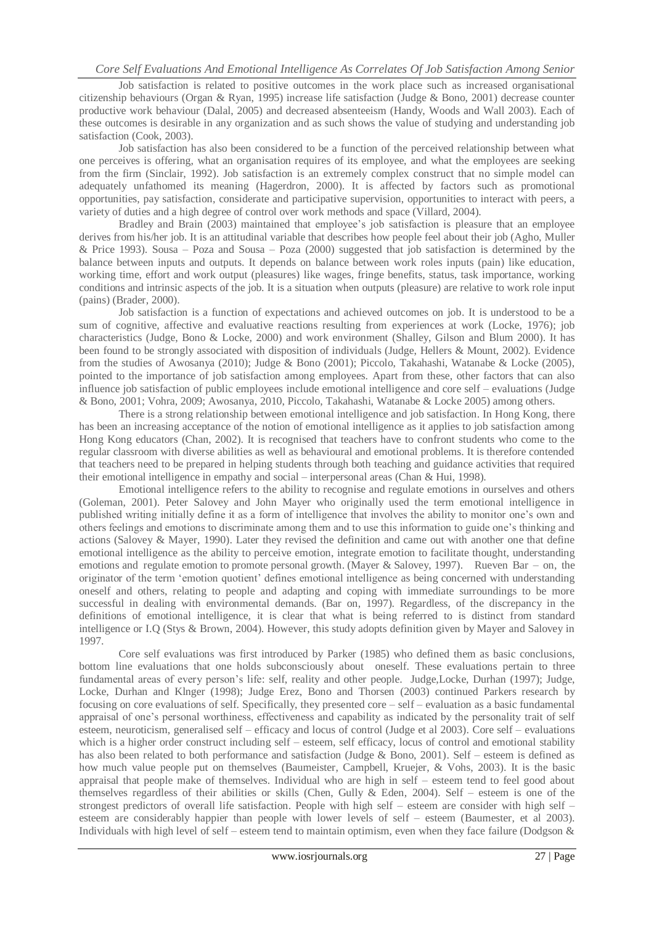Job satisfaction is related to positive outcomes in the work place such as increased organisational citizenship behaviours (Organ & Ryan, 1995) increase life satisfaction (Judge & Bono, 2001) decrease counter productive work behaviour (Dalal, 2005) and decreased absenteeism (Handy, Woods and Wall 2003). Each of these outcomes is desirable in any organization and as such shows the value of studying and understanding job satisfaction (Cook, 2003).

Job satisfaction has also been considered to be a function of the perceived relationship between what one perceives is offering, what an organisation requires of its employee, and what the employees are seeking from the firm (Sinclair, 1992). Job satisfaction is an extremely complex construct that no simple model can adequately unfathomed its meaning (Hagerdron, 2000). It is affected by factors such as promotional opportunities, pay satisfaction, considerate and participative supervision, opportunities to interact with peers, a variety of duties and a high degree of control over work methods and space (Villard, 2004).

Bradley and Brain (2003) maintained that employee's job satisfaction is pleasure that an employee derives from his/her job. It is an attitudinal variable that describes how people feel about their job (Agho, Muller & Price 1993). Sousa – Poza and Sousa – Poza (2000) suggested that job satisfaction is determined by the balance between inputs and outputs. It depends on balance between work roles inputs (pain) like education, working time, effort and work output (pleasures) like wages, fringe benefits, status, task importance, working conditions and intrinsic aspects of the job. It is a situation when outputs (pleasure) are relative to work role input (pains) (Brader, 2000).

Job satisfaction is a function of expectations and achieved outcomes on job. It is understood to be a sum of cognitive, affective and evaluative reactions resulting from experiences at work (Locke, 1976); job characteristics (Judge, Bono & Locke, 2000) and work environment (Shalley, Gilson and Blum 2000). It has been found to be strongly associated with disposition of individuals (Judge, Hellers & Mount, 2002). Evidence from the studies of Awosanya (2010); Judge & Bono (2001); Piccolo, Takahashi, Watanabe & Locke (2005), pointed to the importance of job satisfaction among employees. Apart from these, other factors that can also influence job satisfaction of public employees include emotional intelligence and core self – evaluations (Judge & Bono, 2001; Vohra, 2009; Awosanya, 2010, Piccolo, Takahashi, Watanabe & Locke 2005) among others.

There is a strong relationship between emotional intelligence and job satisfaction. In Hong Kong, there has been an increasing acceptance of the notion of emotional intelligence as it applies to job satisfaction among Hong Kong educators (Chan, 2002). It is recognised that teachers have to confront students who come to the regular classroom with diverse abilities as well as behavioural and emotional problems. It is therefore contended that teachers need to be prepared in helping students through both teaching and guidance activities that required their emotional intelligence in empathy and social – interpersonal areas (Chan & Hui, 1998).

Emotional intelligence refers to the ability to recognise and regulate emotions in ourselves and others (Goleman, 2001). Peter Salovey and John Mayer who originally used the term emotional intelligence in published writing initially define it as a form of intelligence that involves the ability to monitor one"s own and others feelings and emotions to discriminate among them and to use this information to guide one"s thinking and actions (Salovey & Mayer, 1990). Later they revised the definition and came out with another one that define emotional intelligence as the ability to perceive emotion, integrate emotion to facilitate thought, understanding emotions and regulate emotion to promote personal growth. (Mayer & Salovey, 1997). Rueven Bar – on, the originator of the term "emotion quotient" defines emotional intelligence as being concerned with understanding oneself and others, relating to people and adapting and coping with immediate surroundings to be more successful in dealing with environmental demands. (Bar on, 1997). Regardless, of the discrepancy in the definitions of emotional intelligence, it is clear that what is being referred to is distinct from standard intelligence or I.Q (Stys & Brown, 2004). However, this study adopts definition given by Mayer and Salovey in 1997.

Core self evaluations was first introduced by Parker (1985) who defined them as basic conclusions, bottom line evaluations that one holds subconsciously about oneself. These evaluations pertain to three fundamental areas of every person's life: self, reality and other people. Judge,Locke, Durhan (1997); Judge, Locke, Durhan and Klnger (1998); Judge Erez, Bono and Thorsen (2003) continued Parkers research by focusing on core evaluations of self. Specifically, they presented core – self – evaluation as a basic fundamental appraisal of one"s personal worthiness, effectiveness and capability as indicated by the personality trait of self esteem, neuroticism, generalised self – efficacy and locus of control (Judge et al 2003). Core self – evaluations which is a higher order construct including self – esteem, self efficacy, locus of control and emotional stability has also been related to both performance and satisfaction (Judge & Bono, 2001). Self – esteem is defined as how much value people put on themselves (Baumeister, Campbell, Kruejer, & Vohs, 2003). It is the basic appraisal that people make of themselves. Individual who are high in self – esteem tend to feel good about themselves regardless of their abilities or skills (Chen, Gully & Eden, 2004). Self – esteem is one of the strongest predictors of overall life satisfaction. People with high self – esteem are consider with high self – esteem are considerably happier than people with lower levels of self – esteem (Baumester, et al 2003). Individuals with high level of self – esteem tend to maintain optimism, even when they face failure (Dodgson &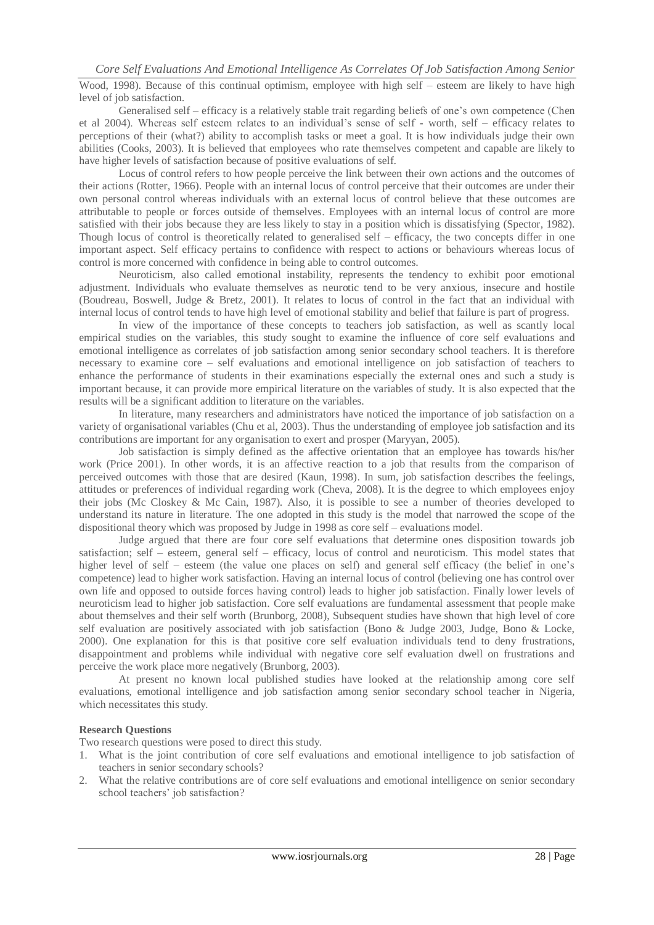Wood, 1998). Because of this continual optimism, employee with high self – esteem are likely to have high level of job satisfaction.

Generalised self – efficacy is a relatively stable trait regarding beliefs of one"s own competence (Chen et al 2004). Whereas self esteem relates to an individual"s sense of self - worth, self – efficacy relates to perceptions of their (what?) ability to accomplish tasks or meet a goal. It is how individuals judge their own abilities (Cooks, 2003). It is believed that employees who rate themselves competent and capable are likely to have higher levels of satisfaction because of positive evaluations of self.

Locus of control refers to how people perceive the link between their own actions and the outcomes of their actions (Rotter, 1966). People with an internal locus of control perceive that their outcomes are under their own personal control whereas individuals with an external locus of control believe that these outcomes are attributable to people or forces outside of themselves. Employees with an internal locus of control are more satisfied with their jobs because they are less likely to stay in a position which is dissatisfying (Spector, 1982). Though locus of control is theoretically related to generalised self – efficacy, the two concepts differ in one important aspect. Self efficacy pertains to confidence with respect to actions or behaviours whereas locus of control is more concerned with confidence in being able to control outcomes.

Neuroticism, also called emotional instability, represents the tendency to exhibit poor emotional adjustment. Individuals who evaluate themselves as neurotic tend to be very anxious, insecure and hostile (Boudreau, Boswell, Judge & Bretz, 2001). It relates to locus of control in the fact that an individual with internal locus of control tends to have high level of emotional stability and belief that failure is part of progress.

In view of the importance of these concepts to teachers job satisfaction, as well as scantly local empirical studies on the variables, this study sought to examine the influence of core self evaluations and emotional intelligence as correlates of job satisfaction among senior secondary school teachers. It is therefore necessary to examine core – self evaluations and emotional intelligence on job satisfaction of teachers to enhance the performance of students in their examinations especially the external ones and such a study is important because, it can provide more empirical literature on the variables of study. It is also expected that the results will be a significant addition to literature on the variables.

In literature, many researchers and administrators have noticed the importance of job satisfaction on a variety of organisational variables (Chu et al, 2003). Thus the understanding of employee job satisfaction and its contributions are important for any organisation to exert and prosper (Maryyan, 2005).

Job satisfaction is simply defined as the affective orientation that an employee has towards his/her work (Price 2001). In other words, it is an affective reaction to a job that results from the comparison of perceived outcomes with those that are desired (Kaun, 1998). In sum, job satisfaction describes the feelings, attitudes or preferences of individual regarding work (Cheva, 2008). It is the degree to which employees enjoy their jobs (Mc Closkey & Mc Cain, 1987). Also, it is possible to see a number of theories developed to understand its nature in literature. The one adopted in this study is the model that narrowed the scope of the dispositional theory which was proposed by Judge in 1998 as core self – evaluations model.

Judge argued that there are four core self evaluations that determine ones disposition towards job satisfaction; self – esteem, general self – efficacy, locus of control and neuroticism. This model states that higher level of self – esteem (the value one places on self) and general self efficacy (the belief in one's competence) lead to higher work satisfaction. Having an internal locus of control (believing one has control over own life and opposed to outside forces having control) leads to higher job satisfaction. Finally lower levels of neuroticism lead to higher job satisfaction. Core self evaluations are fundamental assessment that people make about themselves and their self worth (Brunborg, 2008), Subsequent studies have shown that high level of core self evaluation are positively associated with job satisfaction (Bono & Judge 2003, Judge, Bono & Locke, 2000). One explanation for this is that positive core self evaluation individuals tend to deny frustrations, disappointment and problems while individual with negative core self evaluation dwell on frustrations and perceive the work place more negatively (Brunborg, 2003).

At present no known local published studies have looked at the relationship among core self evaluations, emotional intelligence and job satisfaction among senior secondary school teacher in Nigeria, which necessitates this study.

#### **Research Questions**

Two research questions were posed to direct this study.

- 1. What is the joint contribution of core self evaluations and emotional intelligence to job satisfaction of teachers in senior secondary schools?
- 2. What the relative contributions are of core self evaluations and emotional intelligence on senior secondary school teachers' job satisfaction?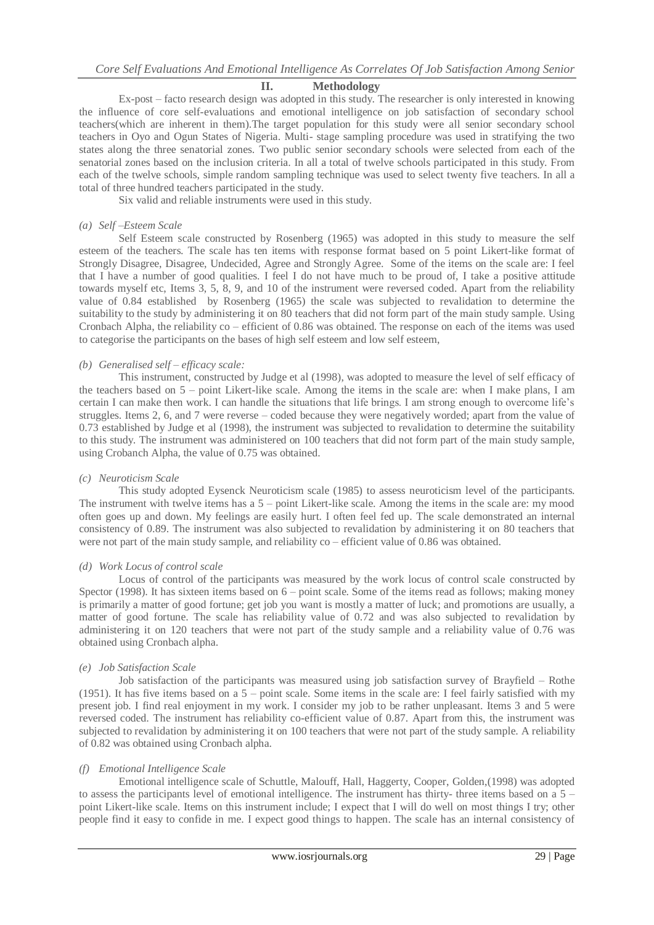## **II. Methodology**

Ex-post – facto research design was adopted in this study. The researcher is only interested in knowing the influence of core self-evaluations and emotional intelligence on job satisfaction of secondary school teachers(which are inherent in them).The target population for this study were all senior secondary school teachers in Oyo and Ogun States of Nigeria. Multi- stage sampling procedure was used in stratifying the two states along the three senatorial zones. Two public senior secondary schools were selected from each of the senatorial zones based on the inclusion criteria. In all a total of twelve schools participated in this study. From each of the twelve schools, simple random sampling technique was used to select twenty five teachers. In all a total of three hundred teachers participated in the study.

Six valid and reliable instruments were used in this study.

#### *(a) Self –Esteem Scale*

Self Esteem scale constructed by Rosenberg (1965) was adopted in this study to measure the self esteem of the teachers. The scale has ten items with response format based on 5 point Likert-like format of Strongly Disagree, Disagree, Undecided, Agree and Strongly Agree. Some of the items on the scale are: I feel that I have a number of good qualities. I feel I do not have much to be proud of, I take a positive attitude towards myself etc, Items 3, 5, 8, 9, and 10 of the instrument were reversed coded. Apart from the reliability value of 0.84 established by Rosenberg (1965) the scale was subjected to revalidation to determine the suitability to the study by administering it on 80 teachers that did not form part of the main study sample. Using Cronbach Alpha, the reliability co – efficient of 0.86 was obtained. The response on each of the items was used to categorise the participants on the bases of high self esteem and low self esteem,

## *(b) Generalised self – efficacy scale:*

This instrument, constructed by Judge et al (1998), was adopted to measure the level of self efficacy of the teachers based on 5 – point Likert-like scale. Among the items in the scale are: when I make plans, I am certain I can make then work. I can handle the situations that life brings. I am strong enough to overcome life"s struggles. Items 2, 6, and 7 were reverse – coded because they were negatively worded; apart from the value of 0.73 established by Judge et al (1998), the instrument was subjected to revalidation to determine the suitability to this study. The instrument was administered on 100 teachers that did not form part of the main study sample, using Crobanch Alpha, the value of 0.75 was obtained.

## *(c) Neuroticism Scale*

This study adopted Eysenck Neuroticism scale (1985) to assess neuroticism level of the participants. The instrument with twelve items has a 5 – point Likert-like scale. Among the items in the scale are: my mood often goes up and down. My feelings are easily hurt. I often feel fed up. The scale demonstrated an internal consistency of 0.89. The instrument was also subjected to revalidation by administering it on 80 teachers that were not part of the main study sample, and reliability co – efficient value of 0.86 was obtained.

## *(d) Work Locus of control scale*

Locus of control of the participants was measured by the work locus of control scale constructed by Spector (1998). It has sixteen items based on 6 – point scale. Some of the items read as follows; making money is primarily a matter of good fortune; get job you want is mostly a matter of luck; and promotions are usually, a matter of good fortune. The scale has reliability value of 0.72 and was also subjected to revalidation by administering it on 120 teachers that were not part of the study sample and a reliability value of 0.76 was obtained using Cronbach alpha.

## *(e) Job Satisfaction Scale*

Job satisfaction of the participants was measured using job satisfaction survey of Brayfield – Rothe (1951). It has five items based on a 5 – point scale. Some items in the scale are: I feel fairly satisfied with my present job. I find real enjoyment in my work. I consider my job to be rather unpleasant. Items 3 and 5 were reversed coded. The instrument has reliability co-efficient value of 0.87. Apart from this, the instrument was subjected to revalidation by administering it on 100 teachers that were not part of the study sample. A reliability of 0.82 was obtained using Cronbach alpha.

#### *(f) Emotional Intelligence Scale*

Emotional intelligence scale of Schuttle, Malouff, Hall, Haggerty, Cooper, Golden,(1998) was adopted to assess the participants level of emotional intelligence. The instrument has thirty- three items based on  $a\bar{5}$  – point Likert-like scale. Items on this instrument include; I expect that I will do well on most things I try; other people find it easy to confide in me. I expect good things to happen. The scale has an internal consistency of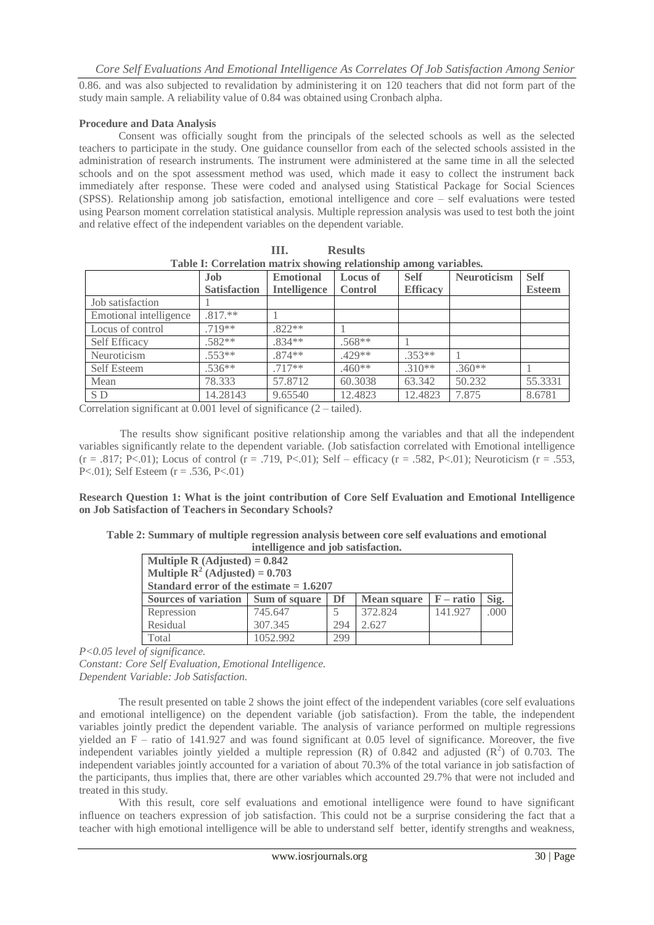0.86. and was also subjected to revalidation by administering it on 120 teachers that did not form part of the study main sample. A reliability value of 0.84 was obtained using Cronbach alpha.

#### **Procedure and Data Analysis**

Consent was officially sought from the principals of the selected schools as well as the selected teachers to participate in the study. One guidance counsellor from each of the selected schools assisted in the administration of research instruments. The instrument were administered at the same time in all the selected schools and on the spot assessment method was used, which made it easy to collect the instrument back immediately after response. These were coded and analysed using Statistical Package for Social Sciences (SPSS). Relationship among job satisfaction, emotional intelligence and core – self evaluations were tested using Pearson moment correlation statistical analysis. Multiple repression analysis was used to test both the joint and relative effect of the independent variables on the dependent variable.

| Table I: Correlation matrix showing relationship among variables. |                     |                     |                 |                 |                    |               |
|-------------------------------------------------------------------|---------------------|---------------------|-----------------|-----------------|--------------------|---------------|
|                                                                   | Job.                | <b>Emotional</b>    | <b>Locus of</b> | <b>Self</b>     | <b>Neuroticism</b> | <b>Self</b>   |
|                                                                   | <b>Satisfaction</b> | <b>Intelligence</b> | <b>Control</b>  | <b>Efficacy</b> |                    | <b>Esteem</b> |
| Job satisfaction                                                  |                     |                     |                 |                 |                    |               |
| Emotional intelligence                                            | $.817.**$           |                     |                 |                 |                    |               |
| Locus of control                                                  | $.719**$            | $822**$             |                 |                 |                    |               |
| Self Efficacy                                                     | $.582**$            | $.834**$            | $.568**$        |                 |                    |               |
| Neuroticism                                                       | $.553**$            | $.874**$            | $.429**$        | $.353**$        |                    |               |
| <b>Self Esteem</b>                                                | $.536**$            | $.717**$            | $.460**$        | $.310**$        | $.360**$           |               |
| Mean                                                              | 78.333              | 57.8712             | 60.3038         | 63.342          | 50.232             | 55.3331       |
| S D                                                               | 14.28143            | 9.65540             | 12.4823         | 12.4823         | 7.875              | 8.6781        |

**III. Results**

Correlation significant at 0.001 level of significance (2 – tailed).

 The results show significant positive relationship among the variables and that all the independent variables significantly relate to the dependent variable. (Job satisfaction correlated with Emotional intelligence  $(r = .817; P < .01)$ ; Locus of control  $(r = .719, P < .01)$ ; Self – efficacy  $(r = .582, P < .01)$ ; Neuroticism  $(r = .553, P < .01)$ P<.01); Self Esteem (r = .536, P<.01)

**Research Question 1: What is the joint contribution of Core Self Evaluation and Emotional Intelligence on Job Satisfaction of Teachers in Secondary Schools?**

| Table 2: Summary of multiple regression analysis between core self evaluations and emotional |  |  |  |  |  |  |
|----------------------------------------------------------------------------------------------|--|--|--|--|--|--|
| intelligence and job satisfaction.                                                           |  |  |  |  |  |  |

| Multiple R $(\text{adjusted}) = 0.842$    |          |     |                    |             |      |
|-------------------------------------------|----------|-----|--------------------|-------------|------|
| Multiple $R^2$ (Adjusted) = 0.703         |          |     |                    |             |      |
| Standard error of the estimate $= 1.6207$ |          |     |                    |             |      |
| Sources of variation Sum of square        |          | Df  | <b>Mean square</b> | $F - ratio$ | Sig. |
| Repression                                | 745.647  |     | 372.824            | 141.927     | .000 |
| Residual                                  | 307.345  | 294 | 2.627              |             |      |
| Total                                     | 1052.992 | 299 |                    |             |      |

*P<0.05 level of significance.*

*Constant: Core Self Evaluation, Emotional Intelligence. Dependent Variable: Job Satisfaction.*

 The result presented on table 2 shows the joint effect of the independent variables (core self evaluations and emotional intelligence) on the dependent variable (job satisfaction). From the table, the independent variables jointly predict the dependent variable. The analysis of variance performed on multiple regressions yielded an F – ratio of 141.927 and was found significant at 0.05 level of significance. Moreover, the five independent variables jointly yielded a multiple repression (R) of 0.842 and adjusted  $(R^2)$  of 0.703. The independent variables jointly accounted for a variation of about 70.3% of the total variance in job satisfaction of the participants, thus implies that, there are other variables which accounted 29.7% that were not included and treated in this study.

With this result, core self evaluations and emotional intelligence were found to have significant influence on teachers expression of job satisfaction. This could not be a surprise considering the fact that a teacher with high emotional intelligence will be able to understand self better, identify strengths and weakness,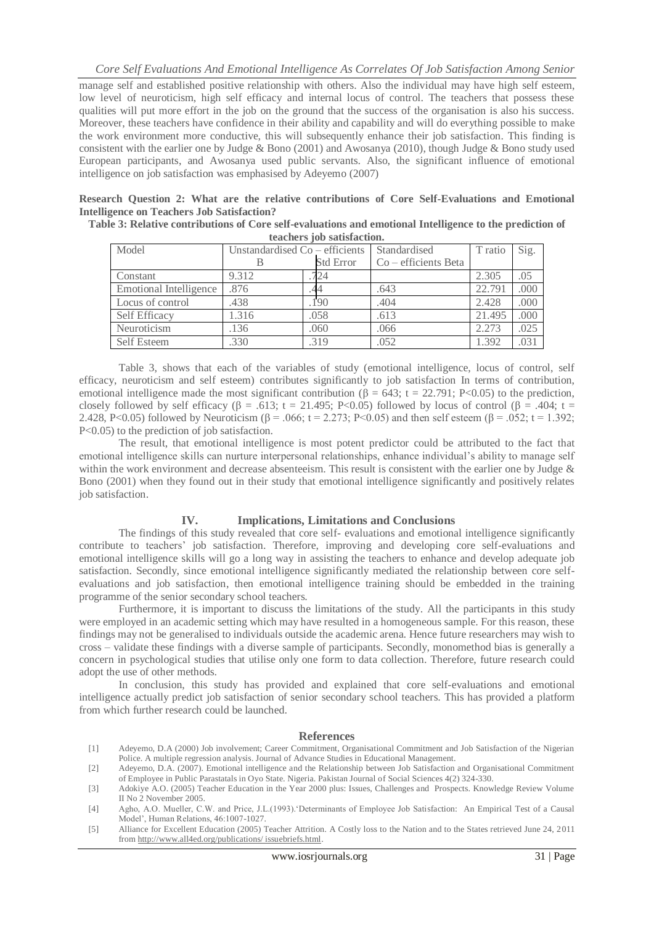manage self and established positive relationship with others. Also the individual may have high self esteem, low level of neuroticism, high self efficacy and internal locus of control. The teachers that possess these qualities will put more effort in the job on the ground that the success of the organisation is also his success. Moreover, these teachers have confidence in their ability and capability and will do everything possible to make the work environment more conductive, this will subsequently enhance their job satisfaction. This finding is consistent with the earlier one by Judge  $& \text{Bono } (2001)$  and Awosanya (2010), though Judge  $& \text{Bono }$  study used European participants, and Awosanya used public servants. Also, the significant influence of emotional intelligence on job satisfaction was emphasised by Adeyemo (2007)

**Research Question 2: What are the relative contributions of Core Self-Evaluations and Emotional Intelligence on Teachers Job Satisfaction?**

| Table 3: Relative contributions of Core self-evaluations and emotional Intelligence to the prediction of |  |
|----------------------------------------------------------------------------------------------------------|--|
| teachers job satisfaction.                                                                               |  |

| Model                  | Unstandardised $Co$ – efficients |                  | Standardised         | T ratio | Sig. |  |  |
|------------------------|----------------------------------|------------------|----------------------|---------|------|--|--|
|                        |                                  | <b>Std Error</b> | Co – efficients Beta |         |      |  |  |
| Constant               | 9.312                            | .724             |                      | 2.305   | .05  |  |  |
| Emotional Intelligence | .876                             |                  | .643                 | 22.791  | .000 |  |  |
| Locus of control       | .438                             | .190             | .404                 | 2.428   | .000 |  |  |
| Self Efficacy          | 1.316                            | .058             | .613                 | 21.495  | .000 |  |  |
| Neuroticism            | .136                             | .060             | .066                 | 2.273   | .025 |  |  |
| <b>Self Esteem</b>     | .330                             | .319             | .052                 | 1.392   | .031 |  |  |

Table 3, shows that each of the variables of study (emotional intelligence, locus of control, self efficacy, neuroticism and self esteem) contributes significantly to job satisfaction In terms of contribution, emotional intelligence made the most significant contribution ( $\beta = 643$ ; t = 22.791; P<0.05) to the prediction, closely followed by self efficacy ( $\beta = .613$ ; t = 21.495; P<0.05) followed by locus of control ( $\beta = .404$ ; t = 2.428, P<0.05) followed by Neuroticism (β = .066; t = 2.273; P<0.05) and then self esteem (β = .052; t = 1.392; P<0.05) to the prediction of job satisfaction.

The result, that emotional intelligence is most potent predictor could be attributed to the fact that emotional intelligence skills can nurture interpersonal relationships, enhance individual"s ability to manage self within the work environment and decrease absenteeism. This result is consistent with the earlier one by Judge  $\&$ Bono (2001) when they found out in their study that emotional intelligence significantly and positively relates job satisfaction.

#### **IV. Implications, Limitations and Conclusions**

The findings of this study revealed that core self- evaluations and emotional intelligence significantly contribute to teachers" job satisfaction. Therefore, improving and developing core self-evaluations and emotional intelligence skills will go a long way in assisting the teachers to enhance and develop adequate job satisfaction. Secondly, since emotional intelligence significantly mediated the relationship between core selfevaluations and job satisfaction, then emotional intelligence training should be embedded in the training programme of the senior secondary school teachers.

Furthermore, it is important to discuss the limitations of the study. All the participants in this study were employed in an academic setting which may have resulted in a homogeneous sample. For this reason, these findings may not be generalised to individuals outside the academic arena. Hence future researchers may wish to cross – validate these findings with a diverse sample of participants. Secondly, monomethod bias is generally a concern in psychological studies that utilise only one form to data collection. Therefore, future research could adopt the use of other methods.

In conclusion, this study has provided and explained that core self-evaluations and emotional intelligence actually predict job satisfaction of senior secondary school teachers. This has provided a platform from which further research could be launched.

#### **References**

- [1] Adeyemo, D.A (2000) Job involvement; Career Commitment, Organisational Commitment and Job Satisfaction of the Nigerian Police. A multiple regression analysis. Journal of Advance Studies in Educational Management.
- [2] Adeyemo, D.A. (2007). Emotional intelligence and the Relationship between Job Satisfaction and Organisational Commitment of Employee in Public Parastatals in Oyo State. Nigeria. Pakistan Journal of Social Sciences 4(2) 324-330.
- [3] Adokiye A.O. (2005) Teacher Education in the Year 2000 plus: Issues, Challenges and Prospects. Knowledge Review Volume II No 2 November 2005.
- [4] Agho, A.O. Mueller, C.W. and Price, J.L.(1993)."Determinants of Employee Job Satisfaction: An Empirical Test of a Causal Model", Human Relations, 46:1007-1027.
- [5] Alliance for Excellent Education (2005) Teacher Attrition. A Costly loss to the Nation and to the States retrieved June 24, 2011 fro[m http://www.all4ed.org/publications/ issuebriefs.html.](http://www.all4ed.org/publications/%20issuebriefs.html)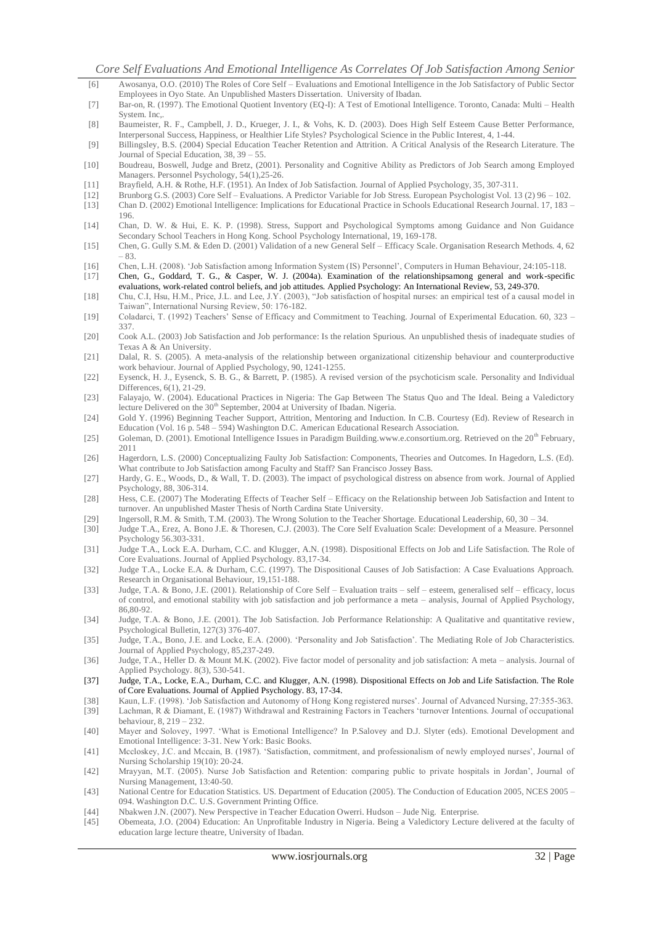- [6] Awosanya, O.O. (2010) The Roles of Core Self Evaluations and Emotional Intelligence in the Job Satisfactory of Public Sector Employees in Oyo State. An Unpublished Masters Dissertation. University of Ibadan.
- [7] Bar-on, R. (1997). The Emotional Quotient Inventory (EQ-I): A Test of Emotional Intelligence. Toronto, Canada: Multi Health System. Inc,.
- [8] Baumeister, R. F., Campbell, J. D., Krueger, J. I., & Vohs, K. D. (2003). Does High Self Esteem Cause Better Performance, Interpersonal Success, Happiness, or Healthier Life Styles? Psychological Science in the Public Interest, 4, 1-44.
- [9] Billingsley, B.S. (2004) Special Education Teacher Retention and Attrition. A Critical Analysis of the Research Literature. The Journal of Special Education, 38, 39 – 55.
- [10] Boudreau, Boswell, Judge and Bretz, (2001). Personality and Cognitive Ability as Predictors of Job Search among Employed Managers. Personnel Psychology, 54(1),25-26.
- [11] Brayfield, A.H. & Rothe, H.F. (1951). An Index of Job Satisfaction. Journal of Applied Psychology, 35, 307-311.
- [12] Brunborg G.S. (2003) Core Self Evaluations. A Predictor Variable for Job Stress. European Psychologist Vol. 13 (2) 96 102.
- [13] Chan D. (2002) Emotional Intelligence: Implications for Educational Practice in Schools Educational Research Journal. 17, 183 196. [14] Chan, D. W. & Hui, E. K. P. (1998). Stress, Support and Psychological Symptoms among Guidance and Non Guidance
- Secondary School Teachers in Hong Kong. School Psychology International, 19, 169-178. [15] Chen, G. Gully S.M. & Eden D. (2001) Validation of a new General Self – Efficacy Scale. Organisation Research Methods. 4, 62
- 83.
- [16] Chen, L.H. (2008). "Job Satisfaction among Information System (IS) Personnel", Computers in Human Behaviour, 24:105-118. [17] Chen, G., Goddard, T. G., & Casper, W. J. (2004a). Examination of the relationshipsamong general and work-specific evaluations, work-related control beliefs, and job attitudes. Applied Psychology: An International Review, 53, 249-370.
- [18] Chu, C.I, Hsu, H.M., Price, J.L. and Lee, J.Y. (2003), "Job satisfaction of hospital nurses: an empirical test of a causal model in Taiwan", International Nursing Review, 50: 176-182.
- [19] Coladarci, T. (1992) Teachers" Sense of Efficacy and Commitment to Teaching. Journal of Experimental Education. 60, 323 337.
- [20] Cook A.L. (2003) Job Satisfaction and Job performance: Is the relation Spurious. An unpublished thesis of inadequate studies of Texas A & An University.
- [21] Dalal, R. S. (2005). A meta-analysis of the relationship between organizational citizenship behaviour and counterproductive work behaviour. Journal of Applied Psychology, 90, 1241-1255.
- [22] Eysenck, H. J., Eysenck, S. B. G., & Barrett, P. (1985). A revised version of the psychoticism scale. Personality and Individual Differences, 6(1), 21-29.
- [23] Falayajo, W. (2004). Educational Practices in Nigeria: The Gap Between The Status Quo and The Ideal. Being a Valedictory lecture Delivered on the 30<sup>th</sup> September, 2004 at University of Ibadan. Nigeria.
- [24] Gold Y. (1996) Beginning Teacher Support, Attrition, Mentoring and Induction. In C.B. Courtesy (Ed). Review of Research in Education (Vol. 16 p. 548 – 594) Washington D.C. American Educational Research Association.
- [25] Goleman, D. (2001). Emotional Intelligence Issues in Paradigm Building.www.e.consortium.org. Retrieved on the 20<sup>th</sup> February, 2011
- [26] Hagerdorn, L.S. (2000) Conceptualizing Faulty Job Satisfaction: Components, Theories and Outcomes. In Hagedorn, L.S. (Ed). What contribute to Job Satisfaction among Faculty and Staff? San Francisco Jossey Bass.
- [27] Hardy, G. E., Woods, D., & Wall, T. D. (2003). The impact of psychological distress on absence from work. Journal of Applied Psychology, 88, 306-314.
- [28] Hess, C.E. (2007) The Moderating Effects of Teacher Self Efficacy on the Relationship between Job Satisfaction and Intent to turnover. An unpublished Master Thesis of North Cardina State University.
- [29] Ingersoll, R.M. & Smith, T.M. (2003). The Wrong Solution to the Teacher Shortage. Educational Leadership, 60, 30 34.
- [30] Judge T.A., Erez, A. Bono J.E. & Thoresen, C.J. (2003). The Core Self Evaluation Scale: Development of a Measure. Personnel Psychology 56.303-331.
- [31] Judge T.A., Lock E.A. Durham, C.C. and Klugger, A.N. (1998). Dispositional Effects on Job and Life Satisfaction. The Role of Core Evaluations. Journal of Applied Psychology. 83,17-34.
- [32] Judge T.A., Locke E.A. & Durham, C.C. (1997). The Dispositional Causes of Job Satisfaction: A Case Evaluations Approach. Research in Organisational Behaviour, 19,151-188.
- [33] Judge, T.A. & Bono, J.E. (2001). Relationship of Core Self Evaluation traits self esteem, generalised self efficacy, locus of control, and emotional stability with job satisfaction and job performance a meta – analysis, Journal of Applied Psychology, 86,80-92.
- [34] Judge, T.A. & Bono, J.E. (2001). The Job Satisfaction. Job Performance Relationship: A Qualitative and quantitative review, Psychological Bulletin, 127(3) 376-407.
- [35] Judge, T.A., Bono, J.E. and Locke, E.A. (2000). "Personality and Job Satisfaction". The Mediating Role of Job Characteristics. Journal of Applied Psychology, 85,237-249.
- [36] Judge, T.A., Heller D. & Mount M.K. (2002). Five factor model of personality and job satisfaction: A meta analysis. Journal of Applied Psychology. 8(3), 530-541.
- [37] Judge, T.A., Locke, E.A., Durham, C.C. and Klugger, A.N. (1998). Dispositional Effects on Job and Life Satisfaction. The Role of Core Evaluations. Journal of Applied Psychology. 83, 17-34.
- [38] Kaun, L.F. (1998). "Job Satisfaction and Autonomy of Hong Kong registered nurses". Journal of Advanced Nursing, 27:355-363.
- [39] Lachman, R & Diamant, E. (1987) Withdrawal and Restraining Factors in Teachers "turnover Intentions. Journal of occupational behaviour, 8, 219 – 232.
- [40] Mayer and Solovey, 1997. "What is Emotional Intelligence? In P.Salovey and D.J. Slyter (eds). Emotional Development and Emotional Intelligence: 3-31. New York: Basic Books.
- [41] Mccloskey, J.C. and Mccain, B. (1987). "Satisfaction, commitment, and professionalism of newly employed nurses", Journal of Nursing Scholarship 19(10): 20-24.
- [42] Mrayyan, M.T. (2005). Nurse Job Satisfaction and Retention: comparing public to private hospitals in Jordan", Journal of Nursing Management, 13:40-50.
- [43] National Centre for Education Statistics. US. Department of Education (2005). The Conduction of Education 2005, NCES 2005 094. Washington D.C. U.S. Government Printing Office.
- [44] Nbakwen J.N. (2007). New Perspective in Teacher Education Owerri. Hudson Jude Nig. Enterprise.
- [45] Obemeata, J.O. (2004) Education: An Unprofitable Industry in Nigeria. Being a Valedictory Lecture delivered at the faculty of education large lecture theatre, University of Ibadan.